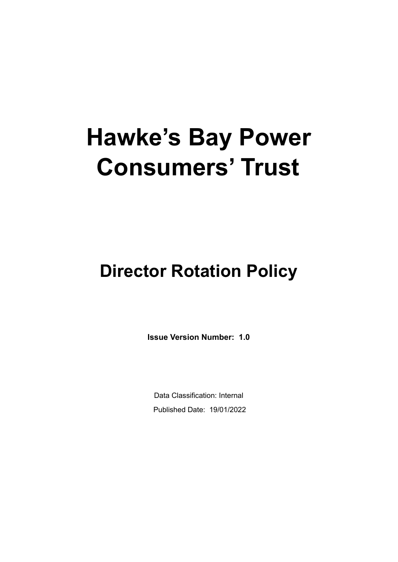# **Hawke's Bay Power Consumers' Trust**

# **Director Rotation Policy**

**Issue Version Number: 1.0**

Data Classification: Internal Published Date: 19/01/2022